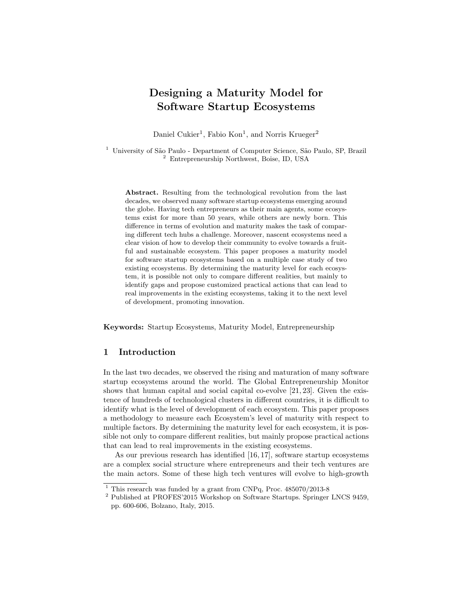# Designing a Maturity Model for Software Startup Ecosystems

Daniel Cukier<sup>1</sup>, Fabio Kon<sup>1</sup>, and Norris Krueger<sup>2</sup>

<sup>1</sup> University of São Paulo - Department of Computer Science, São Paulo, SP, Brazil <sup>2</sup> Entrepreneurship Northwest, Boise, ID, USA

Abstract. Resulting from the technological revolution from the last decades, we observed many software startup ecosystems emerging around the globe. Having tech entrepreneurs as their main agents, some ecosystems exist for more than 50 years, while others are newly born. This difference in terms of evolution and maturity makes the task of comparing different tech hubs a challenge. Moreover, nascent ecosystems need a clear vision of how to develop their community to evolve towards a fruitful and sustainable ecosystem. This paper proposes a maturity model for software startup ecosystems based on a multiple case study of two existing ecosystems. By determining the maturity level for each ecosystem, it is possible not only to compare different realities, but mainly to identify gaps and propose customized practical actions that can lead to real improvements in the existing ecosystems, taking it to the next level of development, promoting innovation.

Keywords: Startup Ecosystems, Maturity Model, Entrepreneurship

# 1 Introduction

In the last two decades, we observed the rising and maturation of many software startup ecosystems around the world. The Global Entrepreneurship Monitor shows that human capital and social capital co-evolve [21, 23]. Given the existence of hundreds of technological clusters in different countries, it is difficult to identify what is the level of development of each ecosystem. This paper proposes a methodology to measure each Ecosystem's level of maturity with respect to multiple factors. By determining the maturity level for each ecosystem, it is possible not only to compare different realities, but mainly propose practical actions that can lead to real improvements in the existing ecosystems.

As our previous research has identified [16, 17], software startup ecosystems are a complex social structure where entrepreneurs and their tech ventures are the main actors. Some of these high tech ventures will evolve to high-growth

 $1$  This research was funded by a grant from CNPq, Proc.  $485070/2013-8$ 

 $^2$  Published at PROFES'2015 Workshop on Software Startups. Springer LNCS 9459,  $\,$ pp. 600-606, Bolzano, Italy, 2015.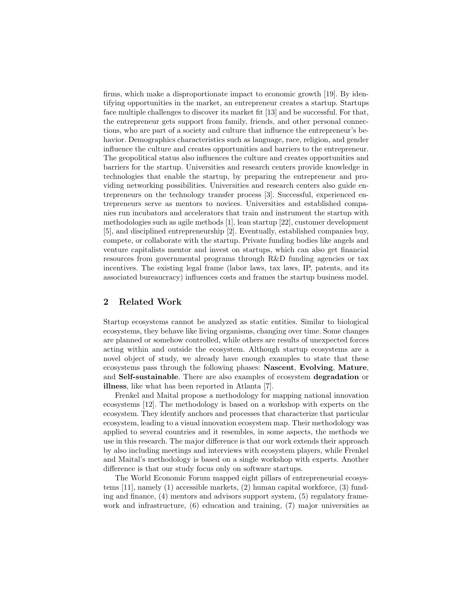firms, which make a disproportionate impact to economic growth [19]. By identifying opportunities in the market, an entrepreneur creates a startup. Startups face multiple challenges to discover its market fit [13] and be successful. For that, the entrepreneur gets support from family, friends, and other personal connections, who are part of a society and culture that influence the entrepreneur's behavior. Demographics characteristics such as language, race, religion, and gender influence the culture and creates opportunities and barriers to the entrepreneur. The geopolitical status also influences the culture and creates opportunities and barriers for the startup. Universities and research centers provide knowledge in technologies that enable the startup, by preparing the entrepreneur and providing networking possibilities. Universities and research centers also guide entrepreneurs on the technology transfer process [3]. Successful, experienced entrepreneurs serve as mentors to novices. Universities and established companies run incubators and accelerators that train and instrument the startup with methodologies such as agile methods [1], lean startup [22], customer development [5], and disciplined entrepreneurship [2]. Eventually, established companies buy, compete, or collaborate with the startup. Private funding bodies like angels and venture capitalists mentor and invest on startups, which can also get financial resources from governmental programs through R&D funding agencies or tax incentives. The existing legal frame (labor laws, tax laws, IP, patents, and its associated bureaucracy) influences costs and frames the startup business model.

# 2 Related Work

Startup ecosystems cannot be analyzed as static entities. Similar to biological ecosystems, they behave like living organisms, changing over time. Some changes are planned or somehow controlled, while others are results of unexpected forces acting within and outside the ecosystem. Although startup ecosystems are a novel object of study, we already have enough examples to state that these ecosystems pass through the following phases: Nascent, Evolving, Mature, and Self-sustainable. There are also examples of ecosystem degradation or illness, like what has been reported in Atlanta [7].

Frenkel and Maital propose a methodology for mapping national innovation ecosystems [12]. The methodology is based on a workshop with experts on the ecosystem. They identify anchors and processes that characterize that particular ecosystem, leading to a visual innovation ecosystem map. Their methodology was applied to several countries and it resembles, in some aspects, the methods we use in this research. The major difference is that our work extends their approach by also including meetings and interviews with ecosystem players, while Frenkel and Maital's methodology is based on a single workshop with experts. Another difference is that our study focus only on software startups.

The World Economic Forum mapped eight pillars of entrepreneurial ecosystems [11], namely (1) accessible markets, (2) human capital workforce, (3) funding and finance, (4) mentors and advisors support system, (5) regulatory framework and infrastructure, (6) education and training, (7) major universities as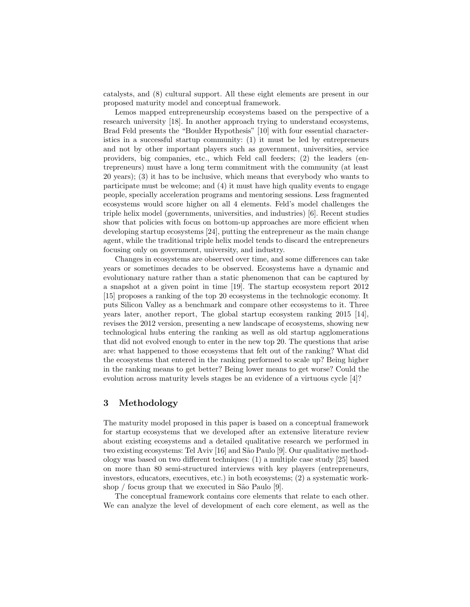catalysts, and (8) cultural support. All these eight elements are present in our proposed maturity model and conceptual framework.

Lemos mapped entrepreneurship ecosystems based on the perspective of a research university [18]. In another approach trying to understand ecosystems, Brad Feld presents the "Boulder Hypothesis" [10] with four essential characteristics in a successful startup community: (1) it must be led by entrepreneurs and not by other important players such as government, universities, service providers, big companies, etc., which Feld call feeders; (2) the leaders (entrepreneurs) must have a long term commitment with the community (at least 20 years); (3) it has to be inclusive, which means that everybody who wants to participate must be welcome; and (4) it must have high quality events to engage people, specially acceleration programs and mentoring sessions. Less fragmented ecosystems would score higher on all 4 elements. Feld's model challenges the triple helix model (governments, universities, and industries) [6]. Recent studies show that policies with focus on bottom-up approaches are more efficient when developing startup ecosystems [24], putting the entrepreneur as the main change agent, while the traditional triple helix model tends to discard the entrepreneurs focusing only on government, university, and industry.

Changes in ecosystems are observed over time, and some differences can take years or sometimes decades to be observed. Ecosystems have a dynamic and evolutionary nature rather than a static phenomenon that can be captured by a snapshot at a given point in time [19]. The startup ecosystem report 2012 [15] proposes a ranking of the top 20 ecosystems in the technologic economy. It puts Silicon Valley as a benchmark and compare other ecosystems to it. Three years later, another report, The global startup ecosystem ranking 2015 [14], revises the 2012 version, presenting a new landscape of ecosystems, showing new technological hubs entering the ranking as well as old startup agglomerations that did not evolved enough to enter in the new top 20. The questions that arise are: what happened to those ecosystems that felt out of the ranking? What did the ecosystems that entered in the ranking performed to scale up? Being higher in the ranking means to get better? Being lower means to get worse? Could the evolution across maturity levels stages be an evidence of a virtuous cycle [4]?

#### 3 Methodology

The maturity model proposed in this paper is based on a conceptual framework for startup ecosystems that we developed after an extensive literature review about existing ecosystems and a detailed qualitative research we performed in two existing ecosystems: Tel Aviv [16] and São Paulo [9]. Our qualitative methodology was based on two different techniques: (1) a multiple case study [25] based on more than 80 semi-structured interviews with key players (entrepreneurs, investors, educators, executives, etc.) in both ecosystems; (2) a systematic workshop / focus group that we executed in São Paulo  $[9]$ .

The conceptual framework contains core elements that relate to each other. We can analyze the level of development of each core element, as well as the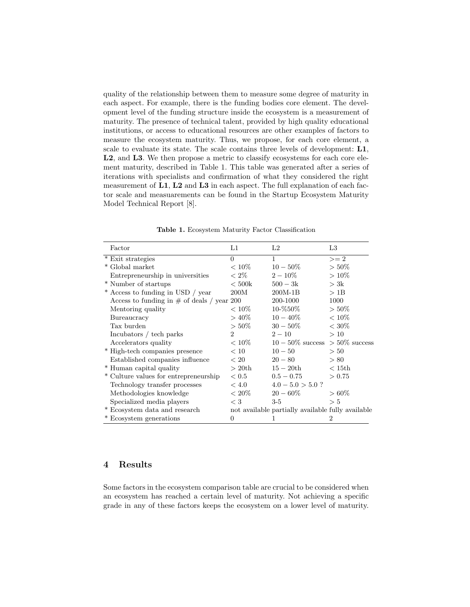quality of the relationship between them to measure some degree of maturity in each aspect. For example, there is the funding bodies core element. The development level of the funding structure inside the ecosystem is a measurement of maturity. The presence of technical talent, provided by high quality educational institutions, or access to educational resources are other examples of factors to measure the ecosystem maturity. Thus, we propose, for each core element, a scale to evaluate its state. The scale contains three levels of development: L1, L2, and L3. We then propose a metric to classify ecosystems for each core element maturity, described in Table 1. This table was generated after a series of iterations with specialists and confirmation of what they considered the right measurement of L1, L2 and L3 in each aspect. The full explanation of each factor scale and measuarements can be found in the Startup Ecosystem Maturity Model Technical Report [8].

| Factor                                        | L1             | L2                                                | L3        |
|-----------------------------------------------|----------------|---------------------------------------------------|-----------|
| * Exit strategies                             | $\Omega$       | $\mathbf{1}$                                      | $>= 2$    |
| * Global market                               | $< 10\%$       | $10 - 50\%$                                       | $>50\%$   |
| Entrepreneurship in universities              | $< 2\%$        | $2 - 10\%$                                        | $>10\%$   |
| * Number of startups                          | < 500k         | $500 - 3k$                                        | > 3k      |
| * Access to funding in USD / year             | 200M           | $200M-1B$                                         | >1B       |
| Access to funding in $\#$ of deals / year 200 |                | 200-1000                                          | 1000      |
| Mentoring quality                             | $< 10\%$       | $10 - \%50\%$                                     | $>50\%$   |
| Bureaucracy                                   | $>40\%$        | $10 - 40\%$                                       | $< 10\%$  |
| Tax burden                                    | $>50\%$        | $30 - 50\%$                                       | $< 30\%$  |
| Incubators / tech parks                       | $\overline{2}$ | $2 - 10$                                          | >10       |
| Accelerators quality                          | $< 10\%$       | $10-50\%$ success $>50\%$ success                 |           |
| * High-tech companies presence                | < 10           | $10 - 50$                                         | > 50      |
| Established companies influence               | < 20           | $20 - 80$                                         | > 80      |
| * Human capital quality                       | >20th          | $15-20th$                                         | $< 15$ th |
| * Culture values for entrepreneurship         | < 0.5          | $0.5 - 0.75$                                      | > 0.75    |
| Technology transfer processes                 | < 4.0          | $4.0 - 5.0 > 5.0$ ?                               |           |
| Methodologies knowledge                       | $< 20\%$       | $20 - 60\%$                                       | $>60\%$   |
| Specialized media players                     | $<$ 3          | $3-5$                                             | > 5       |
| * Ecosystem data and research                 |                | not available partially available fully available |           |
| * Ecosystem generations                       | $\theta$       |                                                   | 2         |

Table 1. Ecosystem Maturity Factor Classification

# 4 Results

Some factors in the ecosystem comparison table are crucial to be considered when an ecosystem has reached a certain level of maturity. Not achieving a specific grade in any of these factors keeps the ecosystem on a lower level of maturity.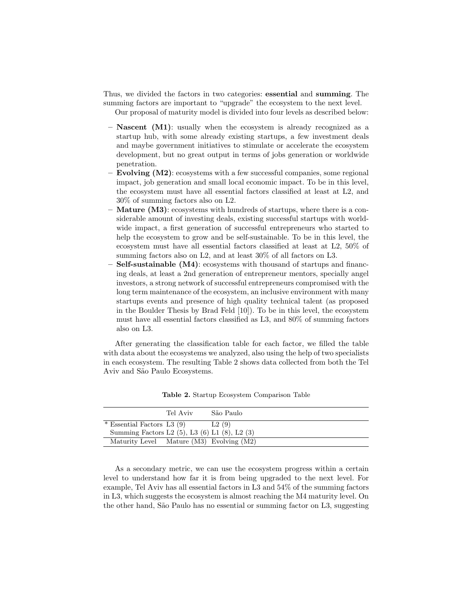Thus, we divided the factors in two categories: essential and summing. The summing factors are important to "upgrade" the ecosystem to the next level.

Our proposal of maturity model is divided into four levels as described below:

- $-$  **Nascent** (M1): usually when the ecosystem is already recognized as a startup hub, with some already existing startups, a few investment deals and maybe government initiatives to stimulate or accelerate the ecosystem development, but no great output in terms of jobs generation or worldwide penetration.
- Evolving (M2): ecosystems with a few successful companies, some regional impact, job generation and small local economic impact. To be in this level, the ecosystem must have all essential factors classified at least at L2, and 30% of summing factors also on L2.
- **Mature (M3)**: ecosystems with hundreds of startups, where there is a considerable amount of investing deals, existing successful startups with worldwide impact, a first generation of successful entrepreneurs who started to help the ecosystem to grow and be self-sustainable. To be in this level, the ecosystem must have all essential factors classified at least at L2, 50% of summing factors also on L2, and at least 30% of all factors on L3.
- **Self-sustainable**  $(M4)$ : ecosystems with thousand of startups and financing deals, at least a 2nd generation of entrepreneur mentors, specially angel investors, a strong network of successful entrepreneurs compromised with the long term maintenance of the ecosystem, an inclusive environment with many startups events and presence of high quality technical talent (as proposed in the Boulder Thesis by Brad Feld [10]). To be in this level, the ecosystem must have all essential factors classified as L3, and 80% of summing factors also on L3.

After generating the classification table for each factor, we filled the table with data about the ecosystems we analyzed, also using the help of two specialists in each ecosystem. The resulting Table 2 shows data collected from both the Tel Aviv and São Paulo Ecosystems.

|                                               | Tel Aviv | São Paulo |
|-----------------------------------------------|----------|-----------|
| * Essential Factors L3 $(9)$                  |          | L2(9)     |
| Summing Factors L2 (5), L3 (6) L1 (8), L2 (3) |          |           |
| Maturity Level Mature (M3) Evolving (M2)      |          |           |

Table 2. Startup Ecosystem Comparison Table

As a secondary metric, we can use the ecosystem progress within a certain level to understand how far it is from being upgraded to the next level. For example, Tel Aviv has all essential factors in L3 and 54% of the summing factors in L3, which suggests the ecosystem is almost reaching the M4 maturity level. On the other hand, S˜ao Paulo has no essential or summing factor on L3, suggesting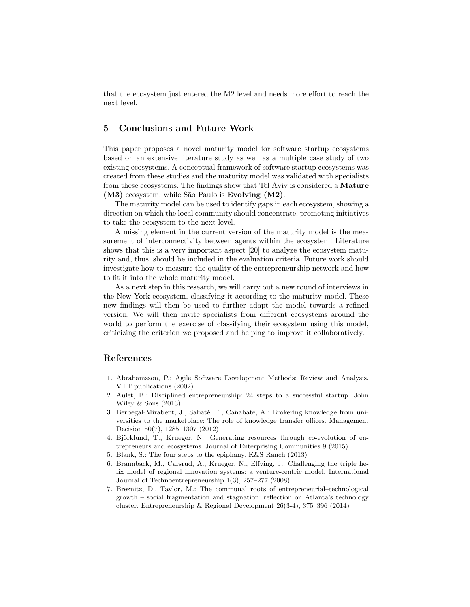that the ecosystem just entered the M2 level and needs more effort to reach the next level.

# 5 Conclusions and Future Work

This paper proposes a novel maturity model for software startup ecosystems based on an extensive literature study as well as a multiple case study of two existing ecosystems. A conceptual framework of software startup ecosystems was created from these studies and the maturity model was validated with specialists from these ecosystems. The findings show that Tel Aviv is considered a Mature  $(M3)$  ecosystem, while São Paulo is **Evolving**  $(M2)$ .

The maturity model can be used to identify gaps in each ecosystem, showing a direction on which the local community should concentrate, promoting initiatives to take the ecosystem to the next level.

A missing element in the current version of the maturity model is the measurement of interconnectivity between agents within the ecosystem. Literature shows that this is a very important aspect [20] to analyze the ecosystem maturity and, thus, should be included in the evaluation criteria. Future work should investigate how to measure the quality of the entrepreneurship network and how to fit it into the whole maturity model.

As a next step in this research, we will carry out a new round of interviews in the New York ecosystem, classifying it according to the maturity model. These new findings will then be used to further adapt the model towards a refined version. We will then invite specialists from different ecosystems around the world to perform the exercise of classifying their ecosystem using this model, criticizing the criterion we proposed and helping to improve it collaboratively.

# References

- 1. Abrahamsson, P.: Agile Software Development Methods: Review and Analysis. VTT publications (2002)
- 2. Aulet, B.: Disciplined entrepreneurship: 24 steps to a successful startup. John Wiley & Sons (2013)
- 3. Berbegal-Mirabent, J., Sabaté, F., Cañabate, A.: Brokering knowledge from universities to the marketplace: The role of knowledge transfer offices. Management Decision 50(7), 1285–1307 (2012)
- 4. Björklund, T., Krueger, N.: Generating resources through co-evolution of entrepreneurs and ecosystems. Journal of Enterprising Communities 9 (2015)
- 5. Blank, S.: The four steps to the epiphany. K&S Ranch (2013)
- 6. Brannback, M., Carsrud, A., Krueger, N., Elfving, J.: Challenging the triple helix model of regional innovation systems: a venture-centric model. International Journal of Technoentrepreneurship 1(3), 257–277 (2008)
- 7. Breznitz, D., Taylor, M.: The communal roots of entrepreneurial–technological growth – social fragmentation and stagnation: reflection on Atlanta's technology cluster. Entrepreneurship & Regional Development 26(3-4), 375–396 (2014)